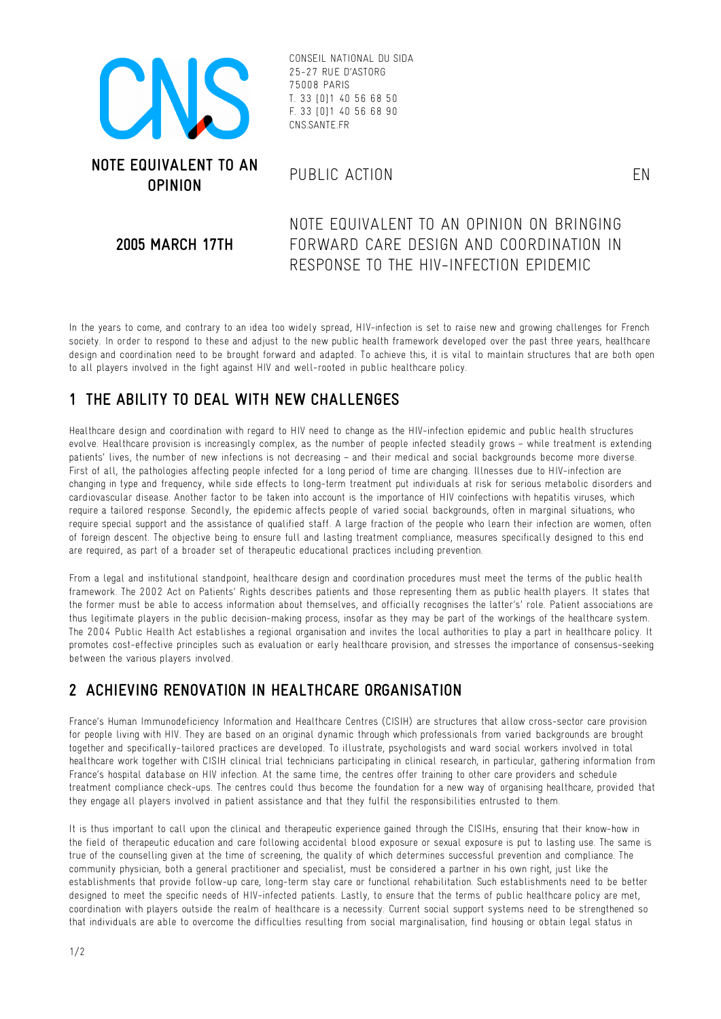

CONSEIL NATIONAL DU SIDA 25-27 RUE D'ASTORG 75008 PARIS T. 33 [0]1 40 56 68 50 F. 33 [0]1 40 56 68 90 CNS.SANTE.FR

#### **2005 MARCH 17TH**

NOTE EQUIVALENT TO AN OPINION ON BRINGING FORWARD CARE DESIGN AND COORDINATION IN RESPONSE TO THE HIV-INFECTION EPIDEMIC

In the years to come, and contrary to an idea too widely spread, HIV-infection is set to raise new and growing challenges for French society. In order to respond to these and adjust to the new public health framework developed over the past three years, healthcare design and coordination need to be brought forward and adapted. To achieve this, it is vital to maintain structures that are both open to all players involved in the fight against HIV and well-rooted in public healthcare policy.

# **1 THE ABILITY TO DEAL WITH NEW CHALLENGES**

Healthcare design and coordination with regard to HIV need to change as the HIV-infection epidemic and public health structures evolve. Healthcare provision is increasingly complex, as the number of people infected steadily grows – while treatment is extending patients' lives, the number of new infections is not decreasing – and their medical and social backgrounds become more diverse. First of all, the pathologies affecting people infected for a long period of time are changing. Illnesses due to HIV-infection are changing in type and frequency, while side effects to long-term treatment put individuals at risk for serious metabolic disorders and cardiovascular disease. Another factor to be taken into account is the importance of HIV coinfections with hepatitis viruses, which require a tailored response. Secondly, the epidemic affects people of varied social backgrounds, often in marginal situations, who require special support and the assistance of qualified staff. A large fraction of the people who learn their infection are women, often of foreign descent. The objective being to ensure full and lasting treatment compliance, measures specifically designed to this end are required, as part of a broader set of therapeutic educational practices including prevention.

From a legal and institutional standpoint, healthcare design and coordination procedures must meet the terms of the public health framework. The 2002 Act on Patients' Rights describes patients and those representing them as public health players. It states that the former must be able to access information about themselves, and officially recognises the latter's' role. Patient associations are thus legitimate players in the public decision-making process, insofar as they may be part of the workings of the healthcare system. The 2004 Public Health Act establishes a regional organisation and invites the local authorities to play a part in healthcare policy. It promotes cost-effective principles such as evaluation or early healthcare provision, and stresses the importance of consensus-seeking between the various players involved.

# **2 ACHIEVING RENOVATION IN HEALTHCARE ORGANISATION**

France's Human Immunodeficiency Information and Healthcare Centres (CISIH) are structures that allow cross-sector care provision for people living with HIV. They are based on an original dynamic through which professionals from varied backgrounds are brought together and specifically-tailored practices are developed. To illustrate, psychologists and ward social workers involved in total healthcare work together with CISIH clinical trial technicians participating in clinical research, in particular, gathering information from France's hospital database on HIV infection. At the same time, the centres offer training to other care providers and schedule treatment compliance check-ups. The centres could thus become the foundation for a new way of organising healthcare, provided that they engage all players involved in patient assistance and that they fulfil the responsibilities entrusted to them.

It is thus important to call upon the clinical and therapeutic experience gained through the CISIHs, ensuring that their know-how in the field of therapeutic education and care following accidental blood exposure or sexual exposure is put to lasting use. The same is true of the counselling given at the time of screening, the quality of which determines successful prevention and compliance. The community physician, both a general practitioner and specialist, must be considered a partner in his own right, just like the establishments that provide follow-up care, long-term stay care or functional rehabilitation. Such establishments need to be better designed to meet the specific needs of HIV-infected patients. Lastly, to ensure that the terms of public healthcare policy are met, coordination with players outside the realm of healthcare is a necessity. Current social support systems need to be strengthened so that individuals are able to overcome the difficulties resulting from social marginalisation, find housing or obtain legal status in